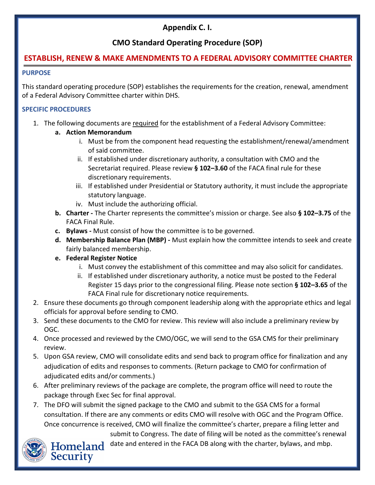## **Appendix C. I.**

# **CMO Standard Operating Procedure (SOP)**

### **ESTABLISH, RENEW & MAKE AMENDMENTS TO A FEDERAL ADVISORY COMMITTEE CHARTER**

#### **PURPOSE**

This standard operating procedure (SOP) establishes the requirements for the creation, renewal, amendment of a Federal Advisory Committee charter within DHS.

### **SPECIFIC PROCEDURES**

- 1. The following documents are required for the establishment of a Federal Advisory Committee:
	- **a. Action Memorandum** 
		- i. Must be from the component head requesting the establishment/renewal/amendment of said committee.
		- ii. If established under discretionary authority, a consultation with CMO and the Secretariat required. Please review **§ 102–3.60** of the FACA final rule for these discretionary requirements.
		- iii. If established under Presidential or Statutory authority, it must include the appropriate statutory language.
		- iv. Must include the authorizing official.
	- **b. Charter -** The Charter represents the committee's mission or charge. See also **§ 102–3.75** of the FACA Final Rule.
	- **c. Bylaws -** Must consist of how the committee is to be governed.
	- **d. Membership Balance Plan (MBP) -** Must explain how the committee intends to seek and create fairly balanced membership.
	- **e. Federal Register Notice**
		- i. Must convey the establishment of this committee and may also solicit for candidates.
		- ii. If established under discretionary authority, a notice must be posted to the Federal Register 15 days prior to the congressional filing. Please note section **§ 102–3.65** of the FACA Final rule for discretionary notice requirements.
- 2. Ensure these documents go through component leadership along with the appropriate ethics and legal officials for approval before sending to CMO.
- 3. Send these documents to the CMO for review. This review will also include a preliminary review by OGC.
- 4. Once processed and reviewed by the CMO/OGC, we will send to the GSA CMS for their preliminary review.
- 5. Upon GSA review, CMO will consolidate edits and send back to program office for finalization and any adjudication of edits and responses to comments. (Return package to CMO for confirmation of adjudicated edits and/or comments.)
- 6. After preliminary reviews of the package are complete, the program office will need to route the package through Exec Sec for final approval.
- 7. The DFO will submit the signed package to the CMO and submit to the GSA CMS for a formal consultation. If there are any comments or edits CMO will resolve with OGC and the Program Office. Once concurrence is received, CMO will finalize the committee's charter, prepare a filing letter and

submit to Congress. The date of filing will be noted as the committee's renewal Homeland date and entered in the FACA DB along with the charter, bylaws, and mbp.



**Security**